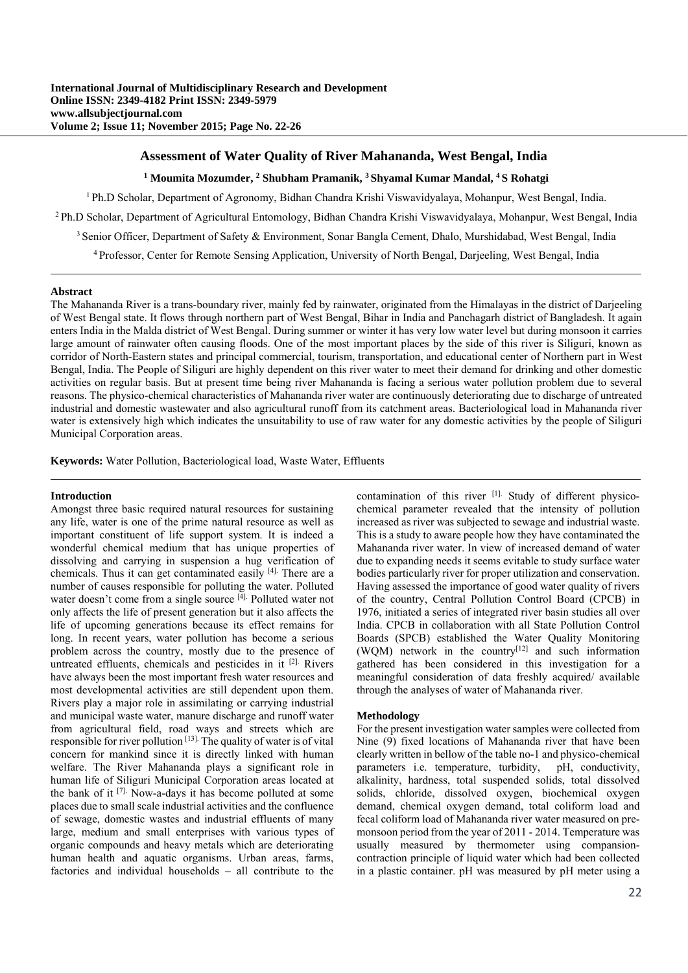# **Assessment of Water Quality of River Mahananda, West Bengal, India**

<sup>1</sup> Moumita Mozumder, <sup>2</sup> Shubham Pramanik, <sup>3</sup> Shyamal Kumar Mandal, <sup>4</sup> S Rohatgi

1 Ph.D Scholar, Department of Agronomy, Bidhan Chandra Krishi Viswavidyalaya, Mohanpur, West Bengal, India. 2 Ph.D Scholar, Department of Agricultural Entomology, Bidhan Chandra Krishi Viswavidyalaya, Mohanpur, West Bengal, India <sup>3</sup> Senior Officer, Department of Safety & Environment, Sonar Bangla Cement, Dhalo, Murshidabad, West Bengal, India

4 Professor, Center for Remote Sensing Application, University of North Bengal, Darjeeling, West Bengal, India

#### **Abstract**

The Mahananda River is a trans-boundary river, mainly fed by rainwater, originated from the Himalayas in the district of Darjeeling of West Bengal state. It flows through northern part of West Bengal, Bihar in India and Panchagarh district of Bangladesh. It again enters India in the Malda district of West Bengal. During summer or winter it has very low water level but during monsoon it carries large amount of rainwater often causing floods. One of the most important places by the side of this river is Siliguri, known as corridor of North-Eastern states and principal commercial, tourism, transportation, and educational center of Northern part in West Bengal, India. The People of Siliguri are highly dependent on this river water to meet their demand for drinking and other domestic activities on regular basis. But at present time being river Mahananda is facing a serious water pollution problem due to several reasons. The physico-chemical characteristics of Mahananda river water are continuously deteriorating due to discharge of untreated industrial and domestic wastewater and also agricultural runoff from its catchment areas. Bacteriological load in Mahananda river water is extensively high which indicates the unsuitability to use of raw water for any domestic activities by the people of Siliguri Municipal Corporation areas.

**Keywords:** Water Pollution, Bacteriological load, Waste Water, Effluents

#### **Introduction**

Amongst three basic required natural resources for sustaining any life, water is one of the prime natural resource as well as important constituent of life support system. It is indeed a wonderful chemical medium that has unique properties of dissolving and carrying in suspension a hug verification of chemicals. Thus it can get contaminated easily [4]. There are a number of causes responsible for polluting the water. Polluted water doesn't come from a single source [4]. Polluted water not only affects the life of present generation but it also affects the life of upcoming generations because its effect remains for long. In recent years, water pollution has become a serious problem across the country, mostly due to the presence of untreated effluents, chemicals and pesticides in it [2]. Rivers have always been the most important fresh water resources and most developmental activities are still dependent upon them. Rivers play a major role in assimilating or carrying industrial and municipal waste water, manure discharge and runoff water from agricultural field, road ways and streets which are responsible for river pollution [13]. The quality of water is of vital concern for mankind since it is directly linked with human welfare. The River Mahananda plays a significant role in human life of Siliguri Municipal Corporation areas located at the bank of it [7]. Now-a-days it has become polluted at some places due to small scale industrial activities and the confluence of sewage, domestic wastes and industrial effluents of many large, medium and small enterprises with various types of organic compounds and heavy metals which are deteriorating human health and aquatic organisms. Urban areas, farms, factories and individual households – all contribute to the

contamination of this river [1]. Study of different physicochemical parameter revealed that the intensity of pollution increased as river was subjected to sewage and industrial waste. This is a study to aware people how they have contaminated the Mahananda river water. In view of increased demand of water due to expanding needs it seems evitable to study surface water bodies particularly river for proper utilization and conservation. Having assessed the importance of good water quality of rivers of the country, Central Pollution Control Board (CPCB) in 1976, initiated a series of integrated river basin studies all over India. CPCB in collaboration with all State Pollution Control Boards (SPCB) established the Water Quality Monitoring  $(WQM)$  network in the country<sup>[12]</sup> and such information gathered has been considered in this investigation for a meaningful consideration of data freshly acquired/ available through the analyses of water of Mahananda river.

### **Methodology**

For the present investigation water samples were collected from Nine (9) fixed locations of Mahananda river that have been clearly written in bellow of the table no-1 and physico-chemical parameters i.e. temperature, turbidity, pH, conductivity, alkalinity, hardness, total suspended solids, total dissolved solids, chloride, dissolved oxygen, biochemical oxygen demand, chemical oxygen demand, total coliform load and fecal coliform load of Mahananda river water measured on premonsoon period from the year of 2011 - 2014. Temperature was usually measured by thermometer using compansioncontraction principle of liquid water which had been collected in a plastic container. pH was measured by pH meter using a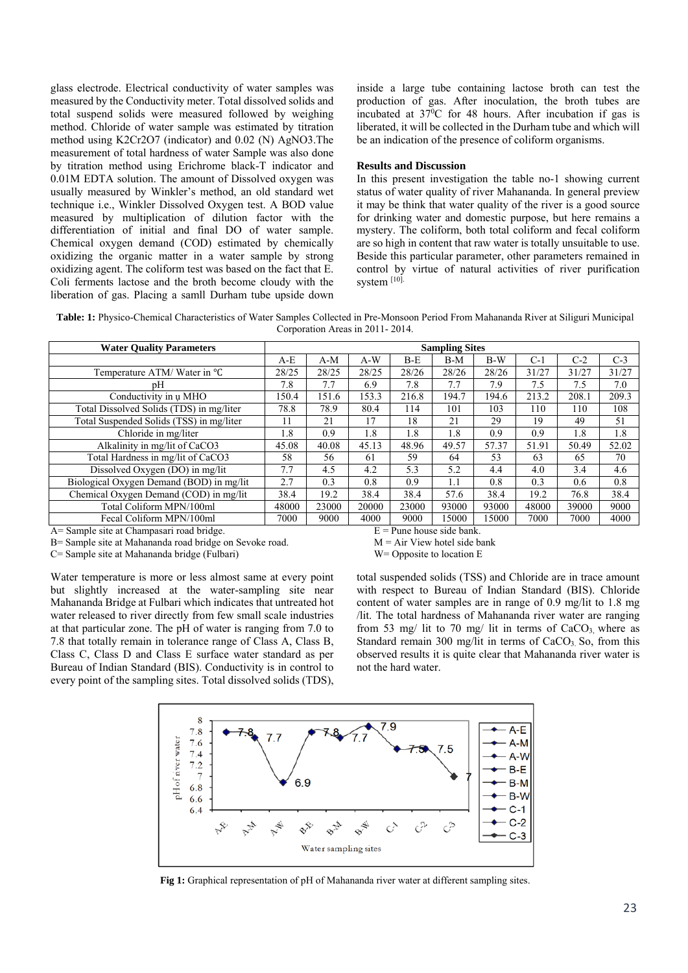glass electrode. Electrical conductivity of water samples was measured by the Conductivity meter. Total dissolved solids and total suspend solids were measured followed by weighing method. Chloride of water sample was estimated by titration method using K2Cr2O7 (indicator) and 0.02 (N) AgNO3.The measurement of total hardness of water Sample was also done by titration method using Erichrome black-T indicator and 0.01M EDTA solution. The amount of Dissolved oxygen was usually measured by Winkler's method, an old standard wet technique i.e., Winkler Dissolved Oxygen test. A BOD value measured by multiplication of dilution factor with the differentiation of initial and final DO of water sample. Chemical oxygen demand (COD) estimated by chemically oxidizing the organic matter in a water sample by strong oxidizing agent. The coliform test was based on the fact that E. Coli ferments lactose and the broth become cloudy with the liberation of gas. Placing a samll Durham tube upside down

inside a large tube containing lactose broth can test the production of gas. After inoculation, the broth tubes are incubated at 370 C for 48 hours. After incubation if gas is liberated, it will be collected in the Durham tube and which will be an indication of the presence of coliform organisms.

### **Results and Discussion**

In this present investigation the table no-1 showing current status of water quality of river Mahananda. In general preview it may be think that water quality of the river is a good source for drinking water and domestic purpose, but here remains a mystery. The coliform, both total coliform and fecal coliform are so high in content that raw water is totally unsuitable to use. Beside this particular parameter, other parameters remained in control by virtue of natural activities of river purification system [10].

**Table: 1:** Physico-Chemical Characteristics of Water Samples Collected in Pre-Monsoon Period From Mahananda River at Siliguri Municipal Corporation Areas in 2011- 2014.

| <b>Water Ouality Parameters</b>          | <b>Sampling Sites</b> |       |       |       |       |       |       |       |       |
|------------------------------------------|-----------------------|-------|-------|-------|-------|-------|-------|-------|-------|
|                                          | $A-E$                 | $A-M$ | $A-W$ | $B-E$ | $B-M$ | $B-W$ | $C-1$ | $C-2$ | $C-3$ |
| Temperature ATM/Water in °C              | 28/25                 | 28/25 | 28/25 | 28/26 | 28/26 | 28/26 | 31/27 | 31/27 | 31/27 |
| pΗ                                       | 7.8                   | 7.7   | 6.9   | 7.8   | 7.7   | 7.9   | 7.5   | 7.5   | 7.0   |
| Conductivity in u MHO                    | 150.4                 | 151.6 | 153.3 | 216.8 | 194.7 | 194.6 | 213.2 | 208.1 | 209.3 |
| Total Dissolved Solids (TDS) in mg/liter | 78.8                  | 78.9  | 80.4  | 114   | 101   | 103   | 110   | 110   | 108   |
| Total Suspended Solids (TSS) in mg/liter | 11                    | 21    | 17    | 18    | 21    | 29    | 19    | 49    | 51    |
| Chloride in mg/liter                     | 1.8                   | 0.9   | 1.8   | 1.8   | 1.8   | 0.9   | 0.9   | 1.8   | 1.8   |
| Alkalinity in mg/lit of CaCO3            | 45.08                 | 40.08 | 45.13 | 48.96 | 49.57 | 57.37 | 51.91 | 50.49 | 52.02 |
| Total Hardness in mg/lit of CaCO3        | 58                    | 56    | 61    | 59    | 64    | 53    | 63    | 65    | 70    |
| Dissolved Oxygen (DO) in mg/lit          | 7.7                   | 4.5   | 4.2   | 5.3   | 5.2   | 4.4   | 4.0   | 3.4   | 4.6   |
| Biological Oxygen Demand (BOD) in mg/lit | 2.7                   | 0.3   | 0.8   | 0.9   | 1.1   | 0.8   | 0.3   | 0.6   | 0.8   |
| Chemical Oxygen Demand (COD) in mg/lit   | 38.4                  | 19.2  | 38.4  | 38.4  | 57.6  | 38.4  | 19.2  | 76.8  | 38.4  |
| Total Coliform MPN/100ml                 | 48000                 | 23000 | 20000 | 23000 | 93000 | 93000 | 48000 | 39000 | 9000  |
| Fecal Coliform MPN/100ml                 | 7000                  | 9000  | 4000  | 9000  | 15000 | 15000 | 7000  | 7000  | 4000  |

 $A=$  Sample site at Champasari road bridge.  $E =$  Pune house side bank.

 $B =$  Sample site at Mahananda road bridge on Sevoke road.  $M = Air View$  hotel side bank

C= Sample site at Mahananda bridge (Fulbari) W= Opposite to location E

Water temperature is more or less almost same at every point but slightly increased at the water-sampling site near Mahananda Bridge at Fulbari which indicates that untreated hot water released to river directly from few small scale industries at that particular zone. The pH of water is ranging from 7.0 to 7.8 that totally remain in tolerance range of Class A, Class B, Class C, Class D and Class E surface water standard as per Bureau of Indian Standard (BIS). Conductivity is in control to every point of the sampling sites. Total dissolved solids (TDS),

total suspended solids (TSS) and Chloride are in trace amount with respect to Bureau of Indian Standard (BIS). Chloride content of water samples are in range of 0.9 mg/lit to 1.8 mg /lit. The total hardness of Mahananda river water are ranging from 53 mg/ lit to 70 mg/ lit in terms of  $CaCO<sub>3</sub>$  where as Standard remain 300 mg/lit in terms of  $CaCO<sub>3</sub>$  So, from this observed results it is quite clear that Mahananda river water is not the hard water.



**Fig 1:** Graphical representation of pH of Mahananda river water at different sampling sites.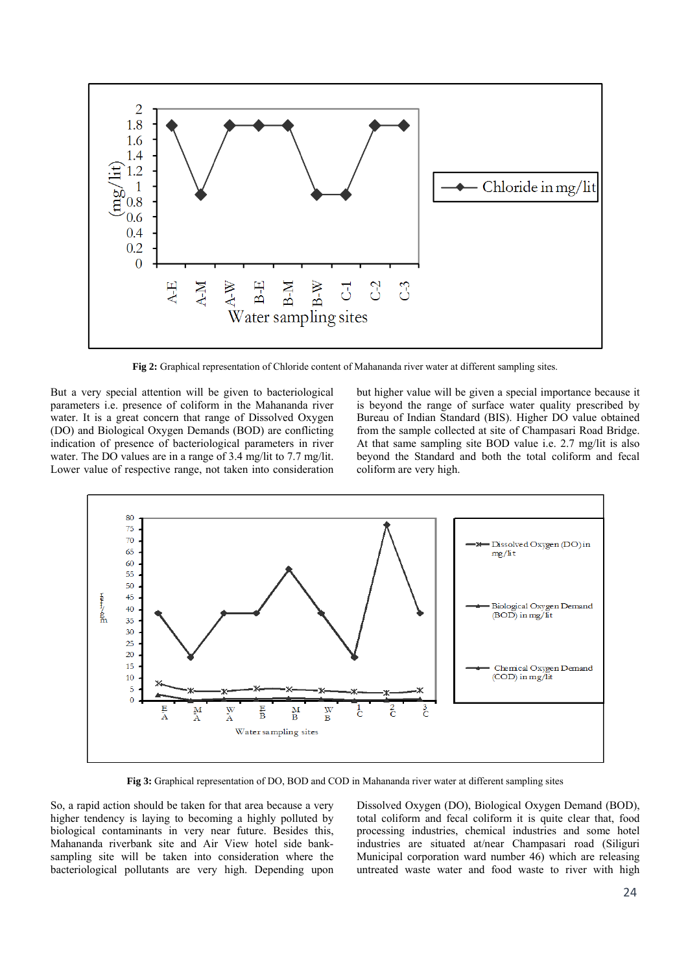

**Fig 2:** Graphical representation of Chloride content of Mahananda river water at different sampling sites.

But a very special attention will be given to bacteriological parameters i.e. presence of coliform in the Mahananda river water. It is a great concern that range of Dissolved Oxygen (DO) and Biological Oxygen Demands (BOD) are conflicting indication of presence of bacteriological parameters in river water. The DO values are in a range of 3.4 mg/lit to 7.7 mg/lit. Lower value of respective range, not taken into consideration but higher value will be given a special importance because it is beyond the range of surface water quality prescribed by Bureau of Indian Standard (BIS). Higher DO value obtained from the sample collected at site of Champasari Road Bridge. At that same sampling site BOD value i.e. 2.7 mg/lit is also beyond the Standard and both the total coliform and fecal coliform are very high.



**Fig 3:** Graphical representation of DO, BOD and COD in Mahananda river water at different sampling sites

So, a rapid action should be taken for that area because a very higher tendency is laying to becoming a highly polluted by biological contaminants in very near future. Besides this, Mahananda riverbank site and Air View hotel side banksampling site will be taken into consideration where the bacteriological pollutants are very high. Depending upon Dissolved Oxygen (DO), Biological Oxygen Demand (BOD), total coliform and fecal coliform it is quite clear that, food processing industries, chemical industries and some hotel industries are situated at/near Champasari road (Siliguri Municipal corporation ward number 46) which are releasing untreated waste water and food waste to river with high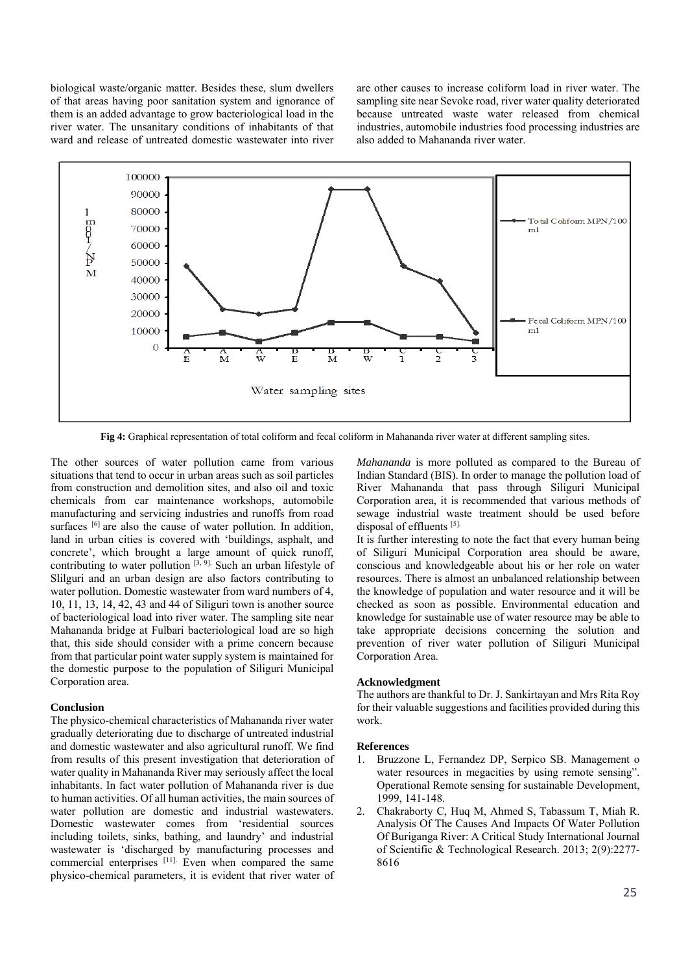biological waste/organic matter. Besides these, slum dwellers of that areas having poor sanitation system and ignorance of them is an added advantage to grow bacteriological load in the river water. The unsanitary conditions of inhabitants of that ward and release of untreated domestic wastewater into river

are other causes to increase coliform load in river water. The sampling site near Sevoke road, river water quality deteriorated because untreated waste water released from chemical industries, automobile industries food processing industries are also added to Mahananda river water.



**Fig 4:** Graphical representation of total coliform and fecal coliform in Mahananda river water at different sampling sites.

The other sources of water pollution came from various situations that tend to occur in urban areas such as soil particles from construction and demolition sites, and also oil and toxic chemicals from car maintenance workshops, automobile manufacturing and servicing industries and runoffs from road surfaces  $[6]$  are also the cause of water pollution. In addition, land in urban cities is covered with 'buildings, asphalt, and concrete', which brought a large amount of quick runoff, contributing to water pollution  $[3, 9]$ . Such an urban lifestyle of Slilguri and an urban design are also factors contributing to water pollution. Domestic wastewater from ward numbers of 4, 10, 11, 13, 14, 42, 43 and 44 of Siliguri town is another source of bacteriological load into river water. The sampling site near Mahananda bridge at Fulbari bacteriological load are so high that, this side should consider with a prime concern because from that particular point water supply system is maintained for the domestic purpose to the population of Siliguri Municipal Corporation area.

## **Conclusion**

The physico-chemical characteristics of Mahananda river water gradually deteriorating due to discharge of untreated industrial and domestic wastewater and also agricultural runoff. We find from results of this present investigation that deterioration of water quality in Mahananda River may seriously affect the local inhabitants. In fact water pollution of Mahananda river is due to human activities. Of all human activities, the main sources of water pollution are domestic and industrial wastewaters. Domestic wastewater comes from 'residential sources including toilets, sinks, bathing, and laundry' and industrial wastewater is 'discharged by manufacturing processes and commercial enterprises  $[11]$ . Even when compared the same physico-chemical parameters, it is evident that river water of *Mahananda* is more polluted as compared to the Bureau of Indian Standard (BIS). In order to manage the pollution load of River Mahananda that pass through Siliguri Municipal Corporation area, it is recommended that various methods of sewage industrial waste treatment should be used before disposal of effluents [5].

It is further interesting to note the fact that every human being of Siliguri Municipal Corporation area should be aware, conscious and knowledgeable about his or her role on water resources. There is almost an unbalanced relationship between the knowledge of population and water resource and it will be checked as soon as possible. Environmental education and knowledge for sustainable use of water resource may be able to take appropriate decisions concerning the solution and prevention of river water pollution of Siliguri Municipal Corporation Area.

#### **Acknowledgment**

The authors are thankful to Dr. J. Sankirtayan and Mrs Rita Roy for their valuable suggestions and facilities provided during this work.

#### **References**

- 1. Bruzzone L, Fernandez DP, Serpico SB. Management o water resources in megacities by using remote sensing". Operational Remote sensing for sustainable Development, 1999, 141-148.
- 2. Chakraborty C, Huq M, Ahmed S, Tabassum T, Miah R. Analysis Of The Causes And Impacts Of Water Pollution Of Buriganga River: A Critical Study International Journal of Scientific & Technological Research. 2013; 2(9):2277- 8616